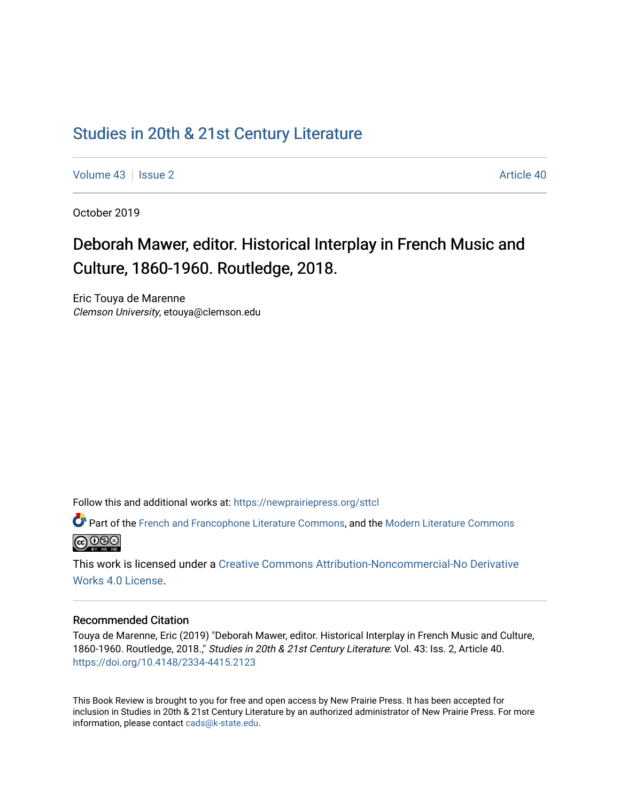# [Studies in 20th & 21st Century Literature](https://newprairiepress.org/sttcl)

[Volume 43](https://newprairiepress.org/sttcl/vol43) | [Issue 2](https://newprairiepress.org/sttcl/vol43/iss2) Article 40

October 2019

# Deborah Mawer, editor. Historical Interplay in French Music and Culture, 1860-1960. Routledge, 2018.

Eric Touya de Marenne Clemson University, etouya@clemson.edu

Follow this and additional works at: [https://newprairiepress.org/sttcl](https://newprairiepress.org/sttcl?utm_source=newprairiepress.org%2Fsttcl%2Fvol43%2Fiss2%2F40&utm_medium=PDF&utm_campaign=PDFCoverPages) 

Part of the [French and Francophone Literature Commons,](http://network.bepress.com/hgg/discipline/465?utm_source=newprairiepress.org%2Fsttcl%2Fvol43%2Fiss2%2F40&utm_medium=PDF&utm_campaign=PDFCoverPages) and the [Modern Literature Commons](http://network.bepress.com/hgg/discipline/1050?utm_source=newprairiepress.org%2Fsttcl%2Fvol43%2Fiss2%2F40&utm_medium=PDF&utm_campaign=PDFCoverPages) <u>@ 000</u>

This work is licensed under a [Creative Commons Attribution-Noncommercial-No Derivative](https://creativecommons.org/licenses/by-nc-nd/4.0/)  [Works 4.0 License](https://creativecommons.org/licenses/by-nc-nd/4.0/).

#### Recommended Citation

Touya de Marenne, Eric (2019) "Deborah Mawer, editor. Historical Interplay in French Music and Culture, 1860-1960. Routledge, 2018.," Studies in 20th & 21st Century Literature: Vol. 43: Iss. 2, Article 40. <https://doi.org/10.4148/2334-4415.2123>

This Book Review is brought to you for free and open access by New Prairie Press. It has been accepted for inclusion in Studies in 20th & 21st Century Literature by an authorized administrator of New Prairie Press. For more information, please contact [cads@k-state.edu](mailto:cads@k-state.edu).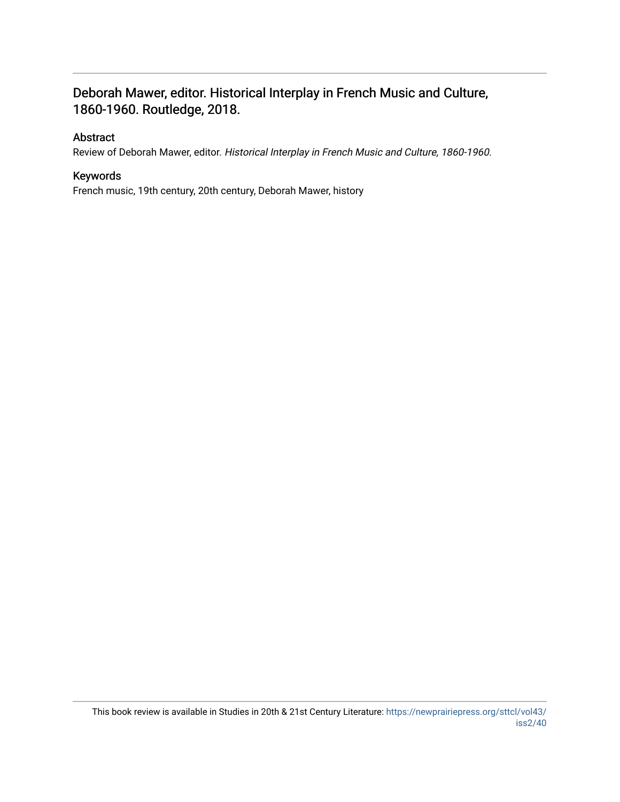## Deborah Mawer, editor. Historical Interplay in French Music and Culture, 1860-1960. Routledge, 2018.

#### Abstract

Review of Deborah Mawer, editor. Historical Interplay in French Music and Culture, 1860-1960.

### Keywords

French music, 19th century, 20th century, Deborah Mawer, history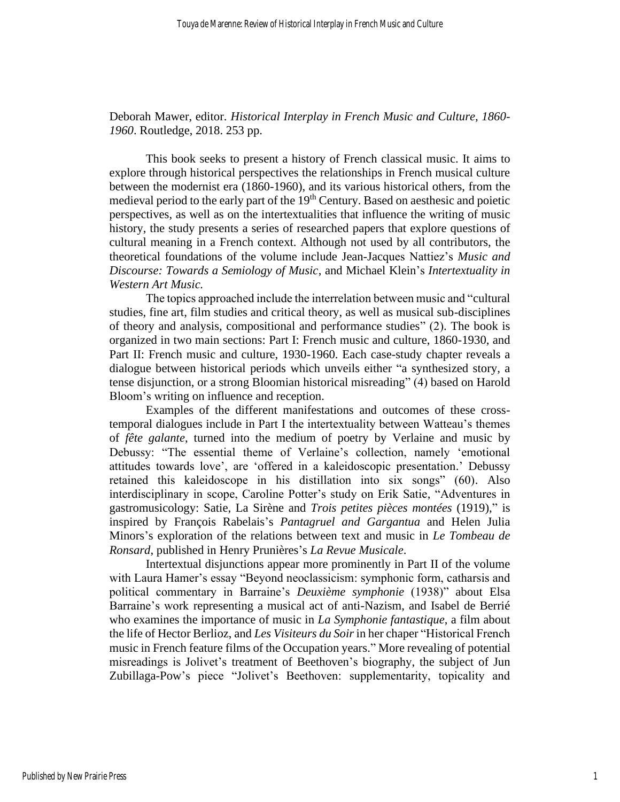Deborah Mawer, editor. *Historical Interplay in French Music and Culture, 1860- 1960*. Routledge, 2018. 253 pp.

This book seeks to present a history of French classical music. It aims to explore through historical perspectives the relationships in French musical culture between the modernist era (1860-1960), and its various historical others, from the medieval period to the early part of the 19<sup>th</sup> Century. Based on aesthesic and poietic perspectives, as well as on the intertextualities that influence the writing of music history, the study presents a series of researched papers that explore questions of cultural meaning in a French context. Although not used by all contributors, the theoretical foundations of the volume include Jean-Jacques Nattiez's *Music and Discourse: Towards a Semiology of Music*, and Michael Klein's *Intertextuality in Western Art Music.* 

The topics approached include the interrelation between music and "cultural studies, fine art, film studies and critical theory, as well as musical sub-disciplines of theory and analysis, compositional and performance studies" (2). The book is organized in two main sections: Part I: French music and culture, 1860-1930, and Part II: French music and culture, 1930-1960. Each case-study chapter reveals a dialogue between historical periods which unveils either "a synthesized story, a tense disjunction, or a strong Bloomian historical misreading" (4) based on Harold Bloom's writing on influence and reception.

Examples of the different manifestations and outcomes of these crosstemporal dialogues include in Part I the intertextuality between Watteau's themes of *fête galante*, turned into the medium of poetry by Verlaine and music by Debussy: "The essential theme of Verlaine's collection, namely 'emotional attitudes towards love', are 'offered in a kaleidoscopic presentation.' Debussy retained this kaleidoscope in his distillation into six songs" (60). Also interdisciplinary in scope, Caroline Potter's study on Erik Satie, "Adventures in gastromusicology: Satie, La Sirène and *Trois petites pièces montées* (1919)," is inspired by François Rabelais's *Pantagruel and Gargantua* and Helen Julia Minors's exploration of the relations between text and music in *Le Tombeau de Ronsard*, published in Henry Prunières's *La Revue Musicale*.

Intertextual disjunctions appear more prominently in Part II of the volume with Laura Hamer's essay "Beyond neoclassicism: symphonic form, catharsis and political commentary in Barraine's *Deuxième symphonie* (1938)" about Elsa Barraine's work representing a musical act of anti-Nazism, and Isabel de Berrié who examines the importance of music in *La Symphonie fantastique*, a film about the life of Hector Berlioz, and *Les Visiteurs du Soir* in her chaper "Historical French music in French feature films of the Occupation years." More revealing of potential misreadings is Jolivet's treatment of Beethoven's biography, the subject of Jun Zubillaga-Pow's piece "Jolivet's Beethoven: supplementarity, topicality and